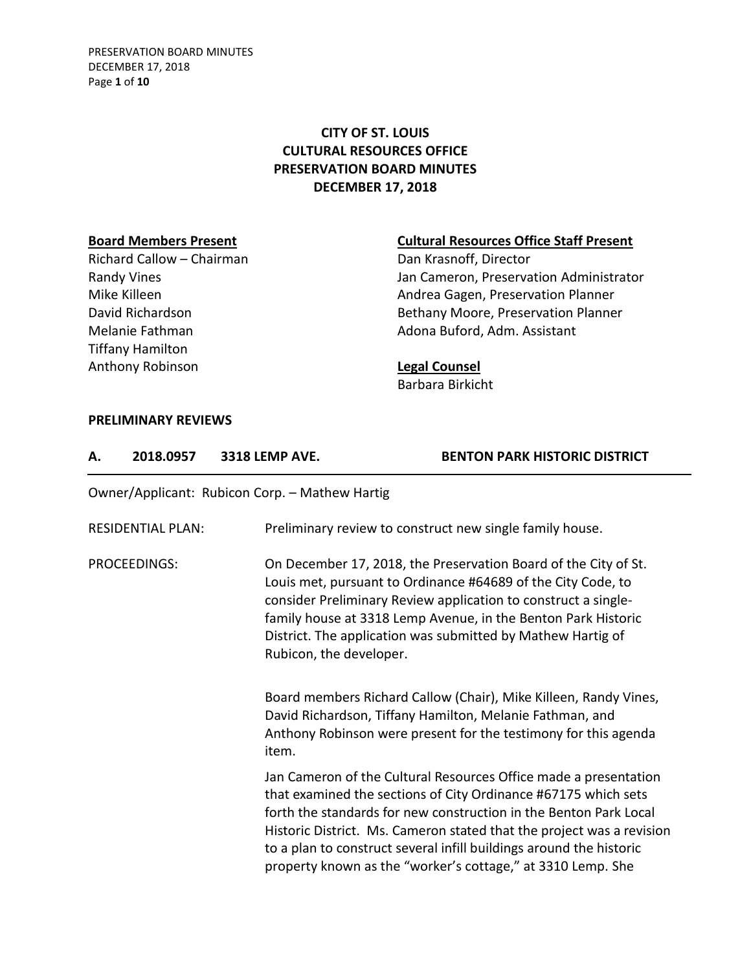PRESERVATION BOARD MINUTES DECEMBER 17, 2018 Page **1** of **10**

# **CITY OF ST. LOUIS CULTURAL RESOURCES OFFICE PRESERVATION BOARD MINUTES DECEMBER 17, 2018**

Richard Callow – Chairman Dan Krasnoff, Director Tiffany Hamilton Anthony Robinson **Legal Counsel**

### **Board Members Present Cultural Resources Office Staff Present**

Randy Vines **National Community Community** Jan Cameron, Preservation Administrator Mike Killeen **Andrea Gagen, Preservation Planner** Andrea Gagen, Preservation Planner David Richardson Bethany Moore, Preservation Planner Melanie Fathman **Adona Buford, Adm. Assistant** 

Barbara Birkicht

### **PRELIMINARY REVIEWS**

|  |  | 2018.0957 | <b>3318 LEMP AVE.</b> | <b>BENTON PARK HISTORIC DISTRICT</b> |
|--|--|-----------|-----------------------|--------------------------------------|
|--|--|-----------|-----------------------|--------------------------------------|

Owner/Applicant: Rubicon Corp. – Mathew Hartig

RESIDENTIAL PLAN: Preliminary review to construct new single family house.

PROCEEDINGS: On December 17, 2018, the Preservation Board of the City of St. Louis met, pursuant to Ordinance #64689 of the City Code, to consider Preliminary Review application to construct a singlefamily house at 3318 Lemp Avenue, in the Benton Park Historic District. The application was submitted by Mathew Hartig of Rubicon, the developer.

> Board members Richard Callow (Chair), Mike Killeen, Randy Vines, David Richardson, Tiffany Hamilton, Melanie Fathman, and Anthony Robinson were present for the testimony for this agenda item.

Jan Cameron of the Cultural Resources Office made a presentation that examined the sections of City Ordinance #67175 which sets forth the standards for new construction in the Benton Park Local Historic District. Ms. Cameron stated that the project was a revision to a plan to construct several infill buildings around the historic property known as the "worker's cottage," at 3310 Lemp. She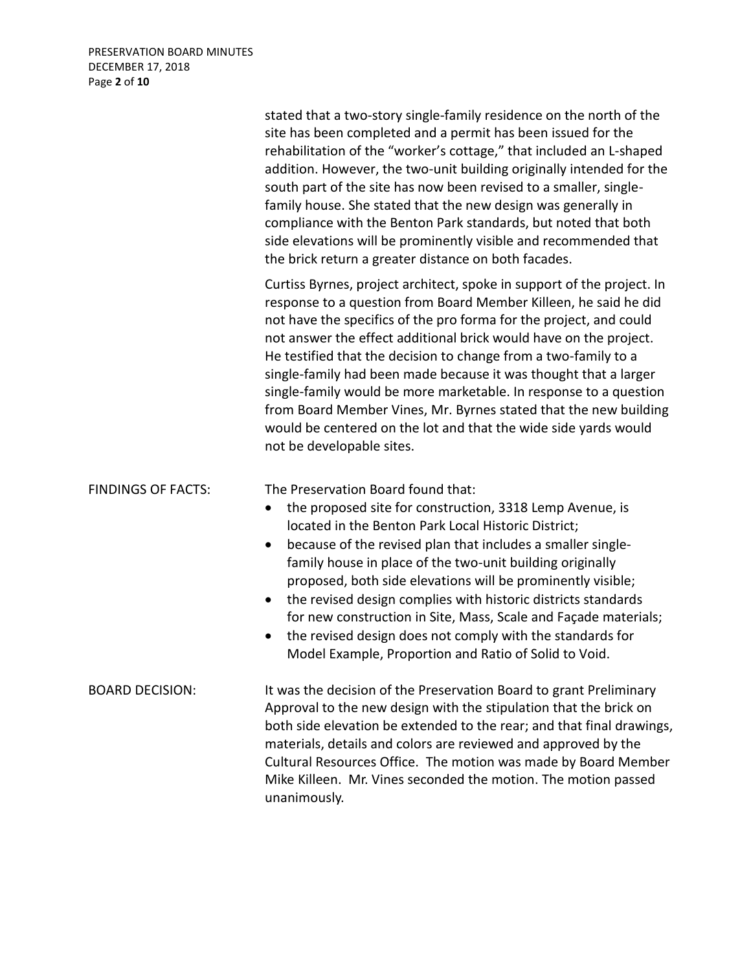|                           | stated that a two-story single-family residence on the north of the<br>site has been completed and a permit has been issued for the<br>rehabilitation of the "worker's cottage," that included an L-shaped<br>addition. However, the two-unit building originally intended for the<br>south part of the site has now been revised to a smaller, single-<br>family house. She stated that the new design was generally in<br>compliance with the Benton Park standards, but noted that both<br>side elevations will be prominently visible and recommended that<br>the brick return a greater distance on both facades.                                                |  |  |
|---------------------------|-----------------------------------------------------------------------------------------------------------------------------------------------------------------------------------------------------------------------------------------------------------------------------------------------------------------------------------------------------------------------------------------------------------------------------------------------------------------------------------------------------------------------------------------------------------------------------------------------------------------------------------------------------------------------|--|--|
|                           | Curtiss Byrnes, project architect, spoke in support of the project. In<br>response to a question from Board Member Killeen, he said he did<br>not have the specifics of the pro forma for the project, and could<br>not answer the effect additional brick would have on the project.<br>He testified that the decision to change from a two-family to a<br>single-family had been made because it was thought that a larger<br>single-family would be more marketable. In response to a question<br>from Board Member Vines, Mr. Byrnes stated that the new building<br>would be centered on the lot and that the wide side yards would<br>not be developable sites. |  |  |
| <b>FINDINGS OF FACTS:</b> | The Preservation Board found that:<br>the proposed site for construction, 3318 Lemp Avenue, is<br>$\bullet$<br>located in the Benton Park Local Historic District;<br>because of the revised plan that includes a smaller single-<br>٠<br>family house in place of the two-unit building originally<br>proposed, both side elevations will be prominently visible;<br>the revised design complies with historic districts standards<br>for new construction in Site, Mass, Scale and Façade materials;<br>the revised design does not comply with the standards for<br>Model Example, Proportion and Ratio of Solid to Void.                                          |  |  |
| <b>BOARD DECISION:</b>    | It was the decision of the Preservation Board to grant Preliminary<br>Approval to the new design with the stipulation that the brick on<br>both side elevation be extended to the rear; and that final drawings,<br>materials, details and colors are reviewed and approved by the<br>Cultural Resources Office. The motion was made by Board Member<br>Mike Killeen. Mr. Vines seconded the motion. The motion passed<br>unanimously.                                                                                                                                                                                                                                |  |  |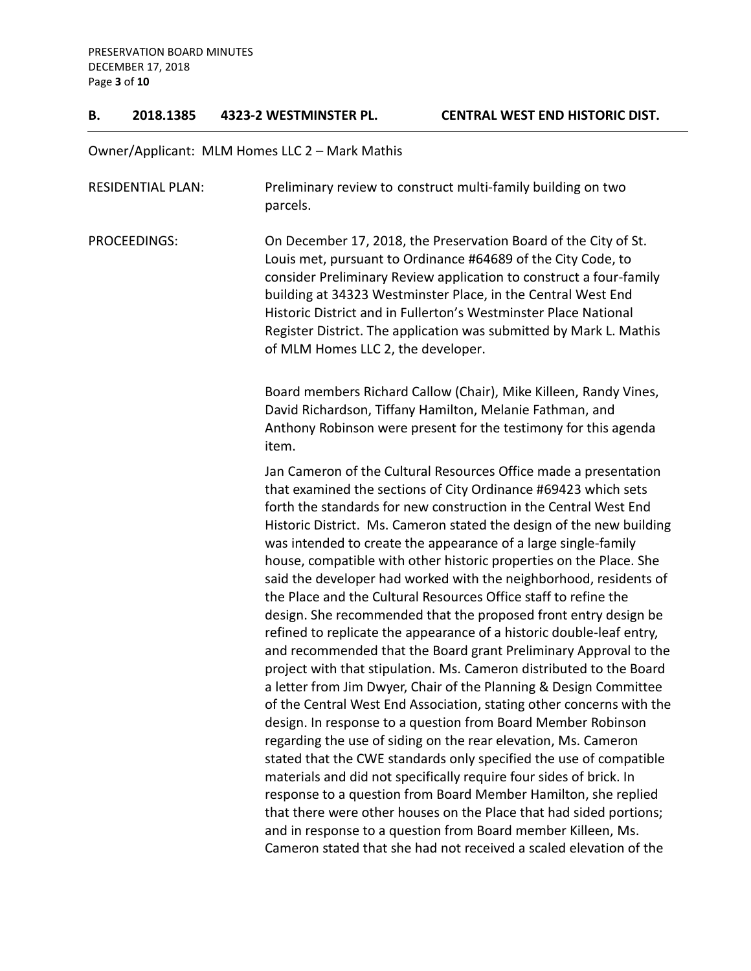### **B. 2018.1385 4323-2 WESTMINSTER PL. CENTRAL WEST END HISTORIC DIST.**

# Owner/Applicant: MLM Homes LLC 2 – Mark Mathis

| <b>RESIDENTIAL PLAN:</b> | Preliminary review to construct multi-family building on two<br>parcels.                                                                                                                                                                                                                                                                                                                                                                                                                                                                                                                                                                                                                                                                                                                                                                                                                                                                                                                                                                                                                                                                                                                                                                                                                                                                                                                                                                                                                                                                                      |
|--------------------------|---------------------------------------------------------------------------------------------------------------------------------------------------------------------------------------------------------------------------------------------------------------------------------------------------------------------------------------------------------------------------------------------------------------------------------------------------------------------------------------------------------------------------------------------------------------------------------------------------------------------------------------------------------------------------------------------------------------------------------------------------------------------------------------------------------------------------------------------------------------------------------------------------------------------------------------------------------------------------------------------------------------------------------------------------------------------------------------------------------------------------------------------------------------------------------------------------------------------------------------------------------------------------------------------------------------------------------------------------------------------------------------------------------------------------------------------------------------------------------------------------------------------------------------------------------------|
| PROCEEDINGS:             | On December 17, 2018, the Preservation Board of the City of St.<br>Louis met, pursuant to Ordinance #64689 of the City Code, to<br>consider Preliminary Review application to construct a four-family<br>building at 34323 Westminster Place, in the Central West End<br>Historic District and in Fullerton's Westminster Place National<br>Register District. The application was submitted by Mark L. Mathis<br>of MLM Homes LLC 2, the developer.                                                                                                                                                                                                                                                                                                                                                                                                                                                                                                                                                                                                                                                                                                                                                                                                                                                                                                                                                                                                                                                                                                          |
|                          | Board members Richard Callow (Chair), Mike Killeen, Randy Vines,<br>David Richardson, Tiffany Hamilton, Melanie Fathman, and<br>Anthony Robinson were present for the testimony for this agenda<br>item.                                                                                                                                                                                                                                                                                                                                                                                                                                                                                                                                                                                                                                                                                                                                                                                                                                                                                                                                                                                                                                                                                                                                                                                                                                                                                                                                                      |
|                          | Jan Cameron of the Cultural Resources Office made a presentation<br>that examined the sections of City Ordinance #69423 which sets<br>forth the standards for new construction in the Central West End<br>Historic District. Ms. Cameron stated the design of the new building<br>was intended to create the appearance of a large single-family<br>house, compatible with other historic properties on the Place. She<br>said the developer had worked with the neighborhood, residents of<br>the Place and the Cultural Resources Office staff to refine the<br>design. She recommended that the proposed front entry design be<br>refined to replicate the appearance of a historic double-leaf entry,<br>and recommended that the Board grant Preliminary Approval to the<br>project with that stipulation. Ms. Cameron distributed to the Board<br>a letter from Jim Dwyer, Chair of the Planning & Design Committee<br>of the Central West End Association, stating other concerns with the<br>design. In response to a question from Board Member Robinson<br>regarding the use of siding on the rear elevation, Ms. Cameron<br>stated that the CWE standards only specified the use of compatible<br>materials and did not specifically require four sides of brick. In<br>response to a question from Board Member Hamilton, she replied<br>that there were other houses on the Place that had sided portions;<br>and in response to a question from Board member Killeen, Ms.<br>Cameron stated that she had not received a scaled elevation of the |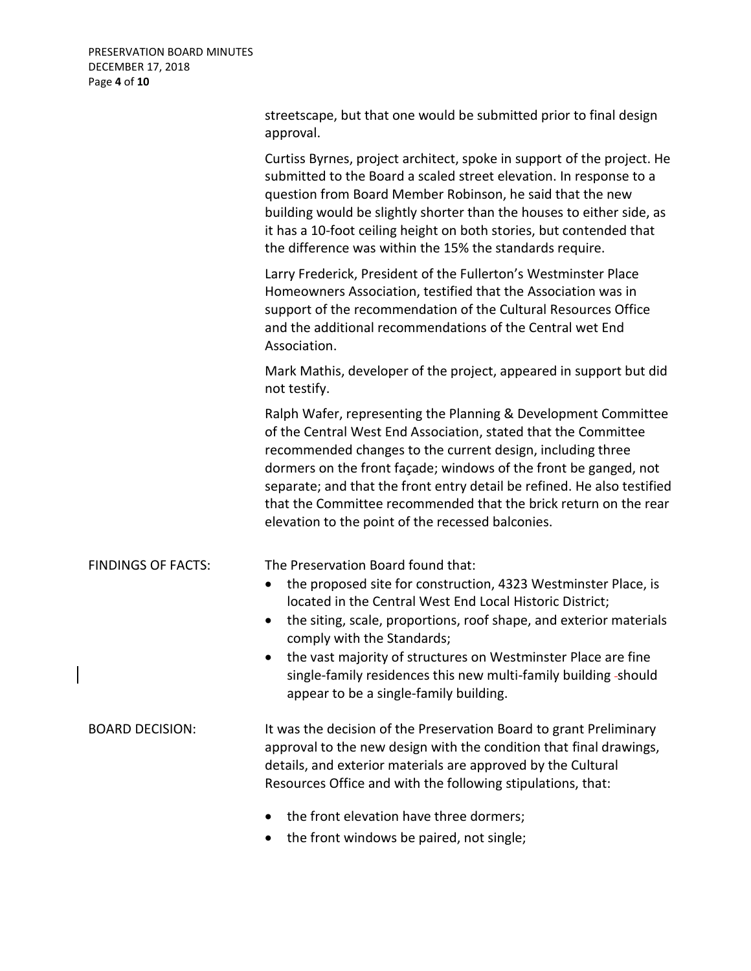$\overline{\phantom{a}}$ 

|                           | streetscape, but that one would be submitted prior to final design<br>approval.                                                                                                                                                                                                                                                                                                                                                                                        |
|---------------------------|------------------------------------------------------------------------------------------------------------------------------------------------------------------------------------------------------------------------------------------------------------------------------------------------------------------------------------------------------------------------------------------------------------------------------------------------------------------------|
|                           | Curtiss Byrnes, project architect, spoke in support of the project. He<br>submitted to the Board a scaled street elevation. In response to a<br>question from Board Member Robinson, he said that the new<br>building would be slightly shorter than the houses to either side, as<br>it has a 10-foot ceiling height on both stories, but contended that<br>the difference was within the 15% the standards require.                                                  |
|                           | Larry Frederick, President of the Fullerton's Westminster Place<br>Homeowners Association, testified that the Association was in<br>support of the recommendation of the Cultural Resources Office<br>and the additional recommendations of the Central wet End<br>Association.                                                                                                                                                                                        |
|                           | Mark Mathis, developer of the project, appeared in support but did<br>not testify.                                                                                                                                                                                                                                                                                                                                                                                     |
|                           | Ralph Wafer, representing the Planning & Development Committee<br>of the Central West End Association, stated that the Committee<br>recommended changes to the current design, including three<br>dormers on the front façade; windows of the front be ganged, not<br>separate; and that the front entry detail be refined. He also testified<br>that the Committee recommended that the brick return on the rear<br>elevation to the point of the recessed balconies. |
| <b>FINDINGS OF FACTS:</b> | The Preservation Board found that:<br>the proposed site for construction, 4323 Westminster Place, is<br>located in the Central West End Local Historic District;<br>the siting, scale, proportions, roof shape, and exterior materials<br>comply with the Standards;<br>the vast majority of structures on Westminster Place are fine<br>single-family residences this new multi-family building-should<br>appear to be a single-family building.                      |
| <b>BOARD DECISION:</b>    | It was the decision of the Preservation Board to grant Preliminary<br>approval to the new design with the condition that final drawings,<br>details, and exterior materials are approved by the Cultural<br>Resources Office and with the following stipulations, that:                                                                                                                                                                                                |
|                           | the front elevation have three dormers;<br>the front windows be paired, not single;                                                                                                                                                                                                                                                                                                                                                                                    |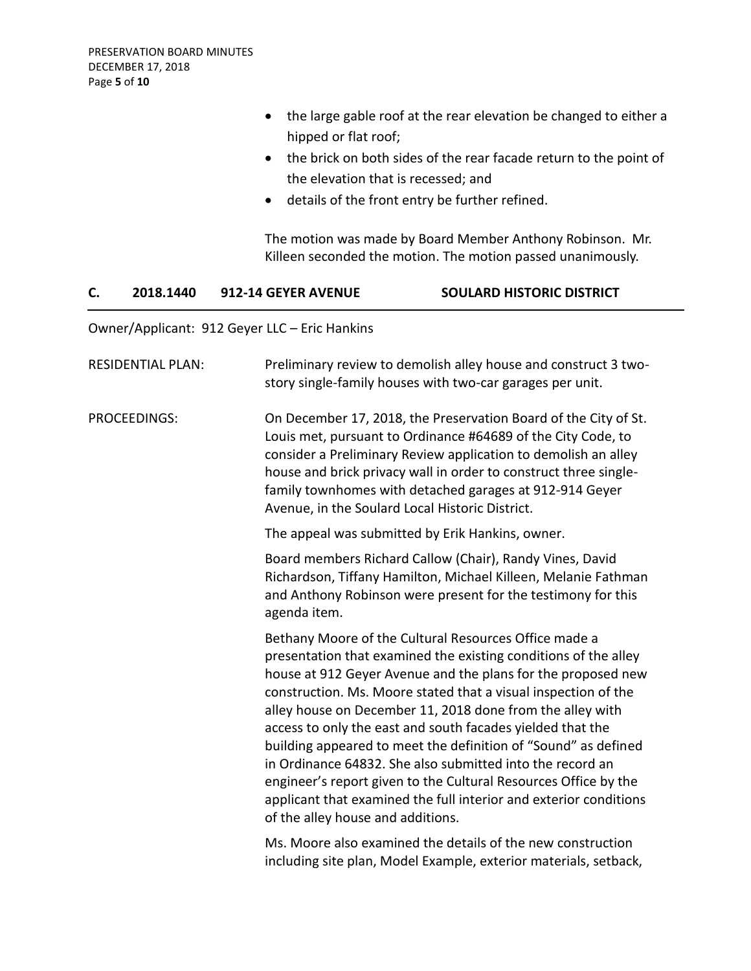- the large gable roof at the rear elevation be changed to either a hipped or flat roof;
- the brick on both sides of the rear facade return to the point of the elevation that is recessed; and
- details of the front entry be further refined.

The motion was made by Board Member Anthony Robinson. Mr. Killeen seconded the motion. The motion passed unanimously.

## **C. 2018.1440 912-14 GEYER AVENUE SOULARD HISTORIC DISTRICT**

Owner/Applicant: 912 Geyer LLC – Eric Hankins

| <b>RESIDENTIAL PLAN:</b> | Preliminary review to demolish alley house and construct 3 two-<br>story single-family houses with two-car garages per unit.                                                                                                                                                                                                                                                                                                                                                                                                                                                                                                                                                                      |
|--------------------------|---------------------------------------------------------------------------------------------------------------------------------------------------------------------------------------------------------------------------------------------------------------------------------------------------------------------------------------------------------------------------------------------------------------------------------------------------------------------------------------------------------------------------------------------------------------------------------------------------------------------------------------------------------------------------------------------------|
| PROCEEDINGS:             | On December 17, 2018, the Preservation Board of the City of St.<br>Louis met, pursuant to Ordinance #64689 of the City Code, to<br>consider a Preliminary Review application to demolish an alley<br>house and brick privacy wall in order to construct three single-<br>family townhomes with detached garages at 912-914 Geyer<br>Avenue, in the Soulard Local Historic District.                                                                                                                                                                                                                                                                                                               |
|                          | The appeal was submitted by Erik Hankins, owner.                                                                                                                                                                                                                                                                                                                                                                                                                                                                                                                                                                                                                                                  |
|                          | Board members Richard Callow (Chair), Randy Vines, David<br>Richardson, Tiffany Hamilton, Michael Killeen, Melanie Fathman<br>and Anthony Robinson were present for the testimony for this<br>agenda item.                                                                                                                                                                                                                                                                                                                                                                                                                                                                                        |
|                          | Bethany Moore of the Cultural Resources Office made a<br>presentation that examined the existing conditions of the alley<br>house at 912 Geyer Avenue and the plans for the proposed new<br>construction. Ms. Moore stated that a visual inspection of the<br>alley house on December 11, 2018 done from the alley with<br>access to only the east and south facades yielded that the<br>building appeared to meet the definition of "Sound" as defined<br>in Ordinance 64832. She also submitted into the record an<br>engineer's report given to the Cultural Resources Office by the<br>applicant that examined the full interior and exterior conditions<br>of the alley house and additions. |
|                          | Ms. Moore also examined the details of the new construction                                                                                                                                                                                                                                                                                                                                                                                                                                                                                                                                                                                                                                       |

including site plan, Model Example, exterior materials, setback,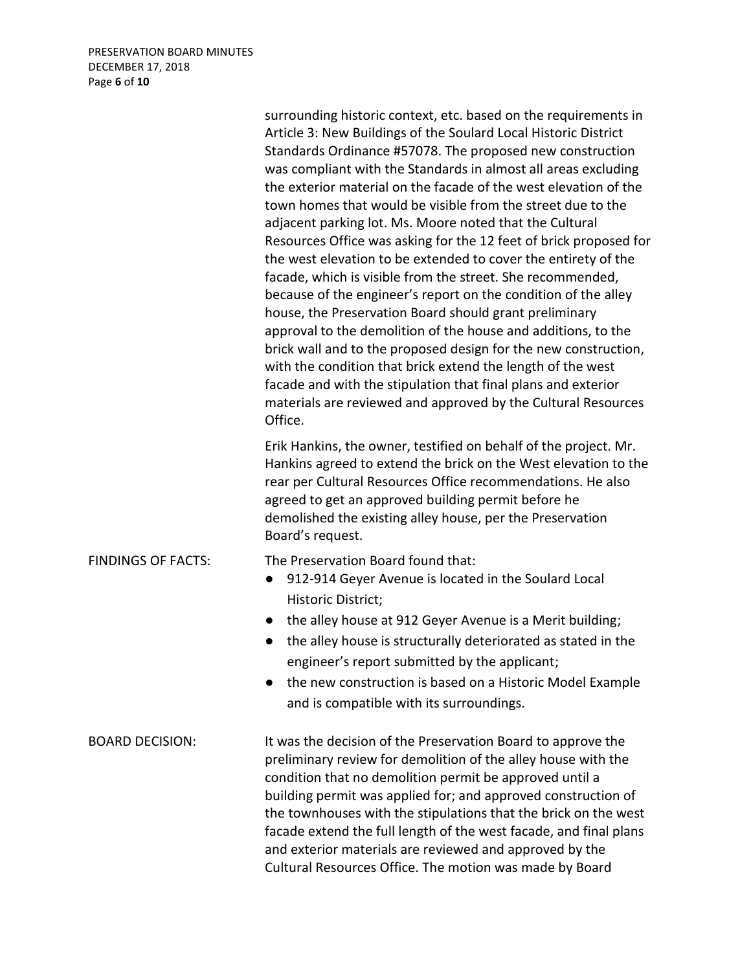surrounding historic context, etc. based on the requirements in Article 3: New Buildings of the Soulard Local Historic District Standards Ordinance #57078. The proposed new construction was compliant with the Standards in almost all areas excluding the exterior material on the facade of the west elevation of the town homes that would be visible from the street due to the adjacent parking lot. Ms. Moore noted that the Cultural Resources Office was asking for the 12 feet of brick proposed for the west elevation to be extended to cover the entirety of the facade, which is visible from the street. She recommended, because of the engineer's report on the condition of the alley house, the Preservation Board should grant preliminary approval to the demolition of the house and additions, to the brick wall and to the proposed design for the new construction, with the condition that brick extend the length of the west facade and with the stipulation that final plans and exterior materials are reviewed and approved by the Cultural Resources Office.

Erik Hankins, the owner, testified on behalf of the project. Mr. Hankins agreed to extend the brick on the West elevation to the rear per Cultural Resources Office recommendations. He also agreed to get an approved building permit before he demolished the existing alley house, per the Preservation Board's request.

FINDINGS OF FACTS: The Preservation Board found that:

- 912-914 Geyer Avenue is located in the Soulard Local Historic District;
- the alley house at 912 Geyer Avenue is a Merit building;
- the alley house is structurally deteriorated as stated in the engineer's report submitted by the applicant;
- the new construction is based on a Historic Model Example and is compatible with its surroundings.

BOARD DECISION: It was the decision of the Preservation Board to approve the preliminary review for demolition of the alley house with the condition that no demolition permit be approved until a building permit was applied for; and approved construction of the townhouses with the stipulations that the brick on the west facade extend the full length of the west facade, and final plans and exterior materials are reviewed and approved by the Cultural Resources Office. The motion was made by Board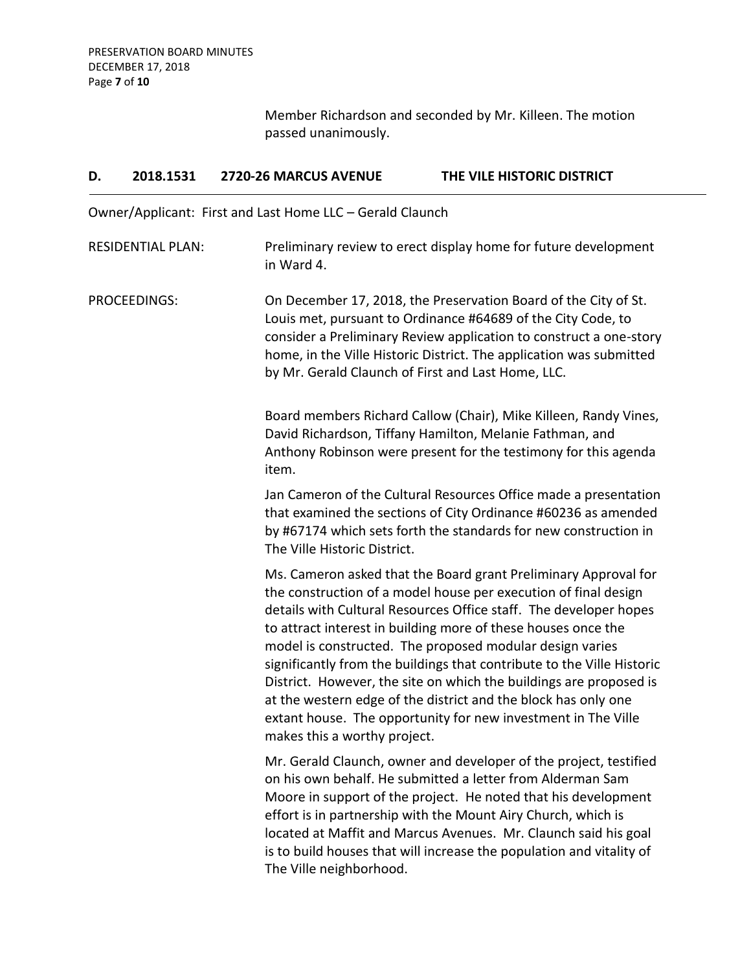Member Richardson and seconded by Mr. Killeen. The motion passed unanimously.

## **D. 2018.1531 2720-26 MARCUS AVENUE THE VILE HISTORIC DISTRICT**

Owner/Applicant: First and Last Home LLC – Gerald Claunch

RESIDENTIAL PLAN: Preliminary review to erect display home for future development in Ward 4. PROCEEDINGS: On December 17, 2018, the Preservation Board of the City of St. Louis met, pursuant to Ordinance #64689 of the City Code, to consider a Preliminary Review application to construct a one-story home, in the Ville Historic District. The application was submitted by Mr. Gerald Claunch of First and Last Home, LLC.

> Board members Richard Callow (Chair), Mike Killeen, Randy Vines, David Richardson, Tiffany Hamilton, Melanie Fathman, and Anthony Robinson were present for the testimony for this agenda item.

> Jan Cameron of the Cultural Resources Office made a presentation that examined the sections of City Ordinance #60236 as amended by #67174 which sets forth the standards for new construction in The Ville Historic District.

> Ms. Cameron asked that the Board grant Preliminary Approval for the construction of a model house per execution of final design details with Cultural Resources Office staff. The developer hopes to attract interest in building more of these houses once the model is constructed. The proposed modular design varies significantly from the buildings that contribute to the Ville Historic District. However, the site on which the buildings are proposed is at the western edge of the district and the block has only one extant house. The opportunity for new investment in The Ville makes this a worthy project.

> Mr. Gerald Claunch, owner and developer of the project, testified on his own behalf. He submitted a letter from Alderman Sam Moore in support of the project. He noted that his development effort is in partnership with the Mount Airy Church, which is located at Maffit and Marcus Avenues. Mr. Claunch said his goal is to build houses that will increase the population and vitality of The Ville neighborhood.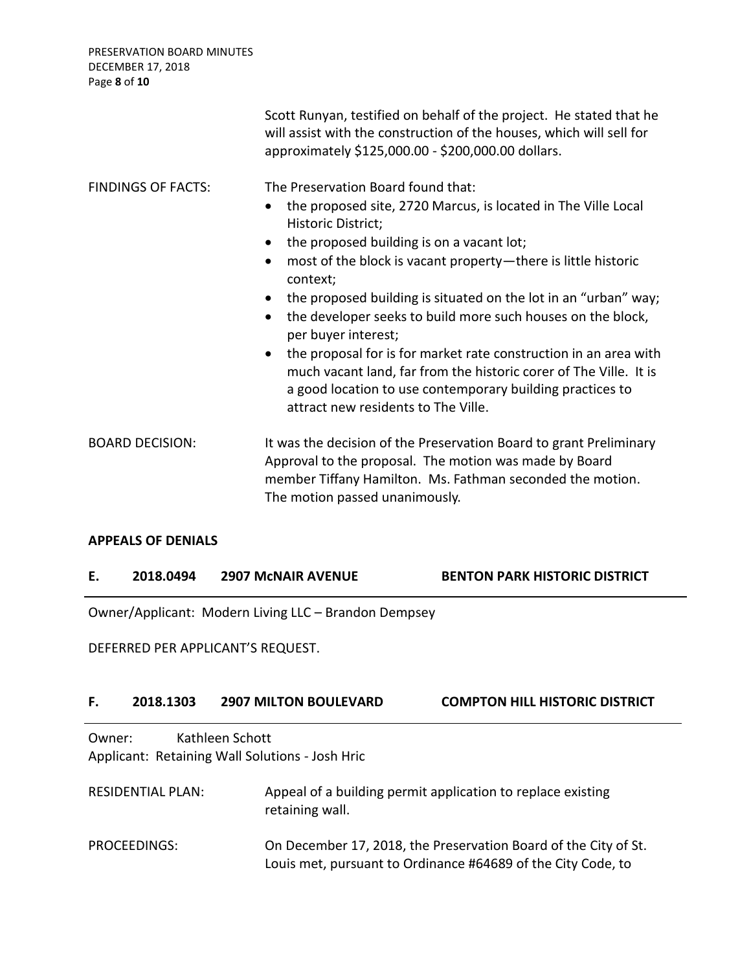PRESERVATION BOARD MINUTES DECEMBER 17, 2018 Page **8** of **10**

|                           | Scott Runyan, testified on behalf of the project. He stated that he<br>will assist with the construction of the houses, which will sell for<br>approximately \$125,000.00 - \$200,000.00 dollars.                                                                                                                                                                                                                                                                                                                                                                                                                                                                                                                          |
|---------------------------|----------------------------------------------------------------------------------------------------------------------------------------------------------------------------------------------------------------------------------------------------------------------------------------------------------------------------------------------------------------------------------------------------------------------------------------------------------------------------------------------------------------------------------------------------------------------------------------------------------------------------------------------------------------------------------------------------------------------------|
| <b>FINDINGS OF FACTS:</b> | The Preservation Board found that:<br>the proposed site, 2720 Marcus, is located in The Ville Local<br>$\bullet$<br>Historic District;<br>the proposed building is on a vacant lot;<br>$\bullet$<br>most of the block is vacant property—there is little historic<br>$\bullet$<br>context;<br>the proposed building is situated on the lot in an "urban" way;<br>the developer seeks to build more such houses on the block,<br>$\bullet$<br>per buyer interest;<br>the proposal for is for market rate construction in an area with<br>$\bullet$<br>much vacant land, far from the historic corer of The Ville. It is<br>a good location to use contemporary building practices to<br>attract new residents to The Ville. |
| <b>BOARD DECISION:</b>    | It was the decision of the Preservation Board to grant Preliminary<br>Approval to the proposal. The motion was made by Board<br>member Tiffany Hamilton. Ms. Fathman seconded the motion.<br>The motion passed unanimously.                                                                                                                                                                                                                                                                                                                                                                                                                                                                                                |

## **APPEALS OF DENIALS**

| 2018.0494 | <b>2907 MCNAIR AVENUE</b> | <b>BENTON PARK HISTORIC DISTRICT</b> |
|-----------|---------------------------|--------------------------------------|
|           |                           |                                      |

Owner/Applicant: Modern Living LLC – Brandon Dempsey

DEFERRED PER APPLICANT'S REQUEST.

## **F. 2018.1303 2907 MILTON BOULEVARD COMPTON HILL HISTORIC DISTRICT**

Owner: Kathleen Schott Applicant: Retaining Wall Solutions - Josh Hric

| <b>RESIDENTIAL PLAN:</b> | Appeal of a building permit application to replace existing<br>retaining wall.                                                  |
|--------------------------|---------------------------------------------------------------------------------------------------------------------------------|
| PROCEEDINGS:             | On December 17, 2018, the Preservation Board of the City of St.<br>Louis met, pursuant to Ordinance #64689 of the City Code, to |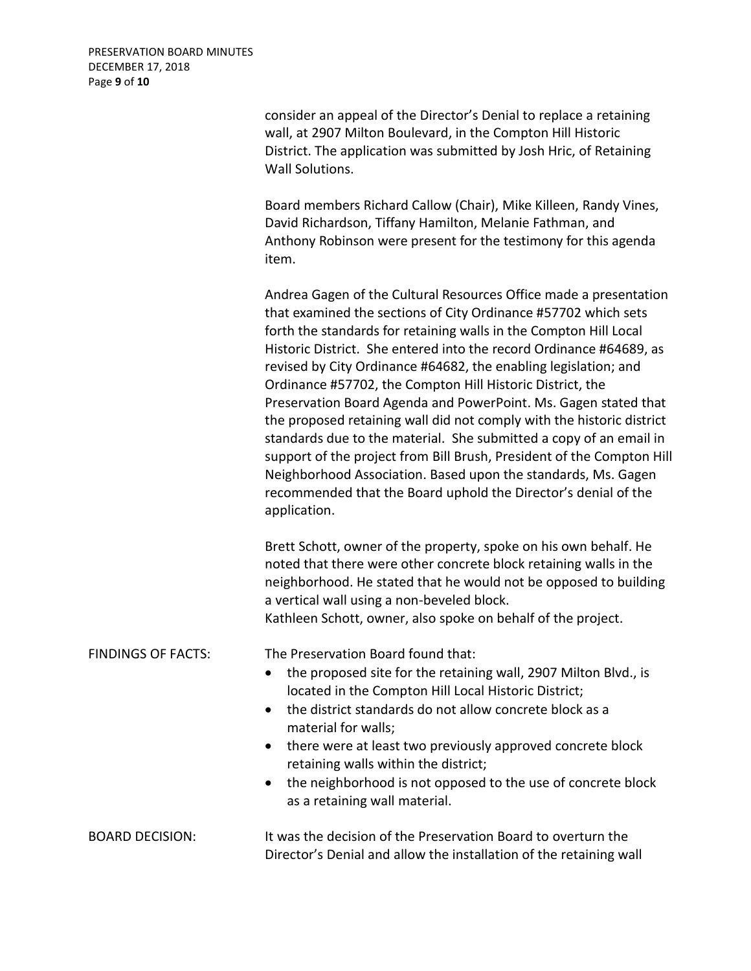PRESERVATION BOARD MINUTES DECEMBER 17, 2018 Page **9** of **10**

> consider an appeal of the Director's Denial to replace a retaining wall, at 2907 Milton Boulevard, in the Compton Hill Historic District. The application was submitted by Josh Hric, of Retaining Wall Solutions.

Board members Richard Callow (Chair), Mike Killeen, Randy Vines, David Richardson, Tiffany Hamilton, Melanie Fathman, and Anthony Robinson were present for the testimony for this agenda item.

Andrea Gagen of the Cultural Resources Office made a presentation that examined the sections of City Ordinance #57702 which sets forth the standards for retaining walls in the Compton Hill Local Historic District. She entered into the record Ordinance #64689, as revised by City Ordinance #64682, the enabling legislation; and Ordinance #57702, the Compton Hill Historic District, the Preservation Board Agenda and PowerPoint. Ms. Gagen stated that the proposed retaining wall did not comply with the historic district standards due to the material. She submitted a copy of an email in support of the project from Bill Brush, President of the Compton Hill Neighborhood Association. Based upon the standards, Ms. Gagen recommended that the Board uphold the Director's denial of the application.

Brett Schott, owner of the property, spoke on his own behalf. He noted that there were other concrete block retaining walls in the neighborhood. He stated that he would not be opposed to building a vertical wall using a non-beveled block. Kathleen Schott, owner, also spoke on behalf of the project.

FINDINGS OF FACTS: The Preservation Board found that:

- the proposed site for the retaining wall, 2907 Milton Blvd., is located in the Compton Hill Local Historic District;
- the district standards do not allow concrete block as a material for walls;
- there were at least two previously approved concrete block retaining walls within the district;
- the neighborhood is not opposed to the use of concrete block as a retaining wall material.

BOARD DECISION: It was the decision of the Preservation Board to overturn the Director's Denial and allow the installation of the retaining wall